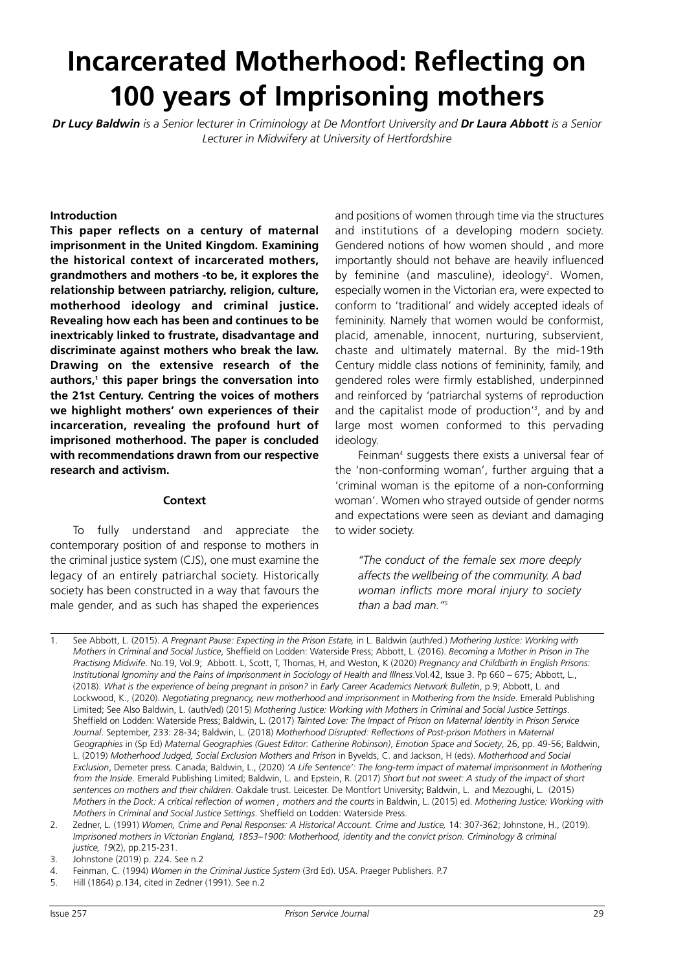# **Incarcerated Motherhood: Reflecting on 100 years of Imprisoning mothers**

Dr Lucy Baldwin is a Senior lecturer in Criminology at De Montfort University and Dr Laura Abbott is a Senior *Lecturer in Midwifery at University of Hertfordshire*

#### **Introduction**

**This paper reflects on a century of maternal imprisonment in the United Kingdom. Examining the historical context of incarcerated mothers, grandmothers and mothers -to be, it explores the relationship between patriarchy, religion, culture, motherhood ideology and criminal justice. Revealing how each has been and continues to be inextricably linked to frustrate, disadvantage and discriminate against mothers who break the law. Drawing on the extensive research of the authors, <sup>1</sup> this paper brings the conversation into the 21st Century. Centring the voices of mothers we highlight mothers' own experiences of their incarceration, revealing the profound hurt of imprisoned motherhood. The paper is concluded with recommendations drawn from our respective research and activism.**

#### **Context**

To fully understand and appreciate the contemporary position of and response to mothers in the criminal justice system (CJS), one must examine the legacy of an entirely patriarchal society. Historically society has been constructed in a way that favours the male gender, and as such has shaped the experiences and positions of women through time via the structures and institutions of a developing modern society. Gendered notions of how women should , and more importantly should not behave are heavily influenced by feminine (and masculine), ideology<sup>2</sup>. Women, especially women in the Victorian era, were expected to conform to 'traditional' and widely accepted ideals of femininity. Namely that women would be conformist, placid, amenable, innocent, nurturing, subservient, chaste and ultimately maternal. By the mid-19th Century middle class notions of femininity, family, and gendered roles were firmly established, underpinned and reinforced by 'patriarchal systems of reproduction and the capitalist mode of production' 3 , and by and large most women conformed to this pervading ideology.

Feinman<sup>4</sup> suggests there exists a universal fear of the 'non-conforming woman', further arguing that a 'criminal woman is the epitome of a non-conforming woman'. Women who strayed outside of gender norms and expectations were seen as deviant and damaging to wider society.

*''The conduct of the female sex more deeply affects the wellbeing of the community. A bad woman inflicts more moral injury to society than a bad man.'' 5*

5. Hill (1864) p.134, cited in Zedner (1991). See n.2

<sup>1.</sup> See Abbott, L. (2015). *A Pregnant Pause: Expecting in the Prison Estate,* in L. Baldwin (auth/ed.) *Mothering Justice: Working with Mothers in Criminal and Social Justice*, Sheffield on Lodden: Waterside Press; Abbott, L. (2016). *Becoming a Mother in Prison in The Practising Midwife*. No.19, Vol.9; Abbott. L, Scott, T, Thomas, H, and Weston, K (2020) *Pregnancy and Childbirth in English Prisons: Institutional Ignominy and the Pains of Imprisonment in Sociology of Health and Illness*.Vol.42, Issue 3. Pp 660 – 675; Abbott, L., (2018). *What is the experience of being pregnant in prison?* in *Early Career Academics Network Bulletin*, p.9; Abbott, L. and Lockwood, K., (2020). *Negotiating pregnancy, new motherhood and imprisonment* in *Mothering from the Inside*. Emerald Publishing Limited; See Also Baldwin, L. (auth/ed) (2015) *Mothering Justice: Working with Mothers in Criminal and Social Justice Settings*. Sheffield on Lodden: Waterside Press; Baldwin, L. (2017) *Tainted Love: The Impact of Prison on Maternal Identity* in *Prison Service Journal*. September, 233: 28-34; Baldwin, L. (2018) *Motherhood Disrupted: Reflections of Post-prison Mothers* in *Maternal Geographies* in (Sp Ed) *Maternal Geographies (Guest Editor: Catherine Robinson)*, *Emotion Space and Society*, 26, pp. 49-56; Baldwin, L. (2019) *Motherhood Judged, Social Exclusion Mothers and Prison* in Byvelds, C. and Jackson, H (eds). *Motherhood and Social Exclusion*, Demeter press. Canada; Baldwin, L., (2020) *'A Life Sentence': The long-term impact of maternal imprisonment in Mothering* from the Inside. Emerald Publishing Limited; Baldwin, L. and Epstein, R. (2017) Short but not sweet: A study of the impact of short *sentences on mothers and their children*. Oakdale trust. Leicester. De Montfort University; Baldwin, L. and Mezoughi, L. (2015) Mothers in the Dock: A critical reflection of women, mothers and the courts in Baldwin, L. (2015) ed. Mothering Justice: Working with *Mothers in Criminal and Social Justice Settings*. Sheffield on Lodden: Waterside Press.

<sup>2.</sup> Zedner, L. (1991) *Women, Crime and Penal Responses: A Historical Account. Crime and Justice,* 14: 307-362; Johnstone, H., (2019). *Imprisoned mothers in Victorian England, 1853–1900: Motherhood, identity and the convict prison. Criminology & criminal justice, 19*(2), pp.215-231.

<sup>3.</sup> Johnstone (2019) p. 224. See n.2

<sup>4.</sup> Feinman, C. (1994) *Women in the Criminal Justice System* (3rd Ed). USA. Praeger Publishers. P.7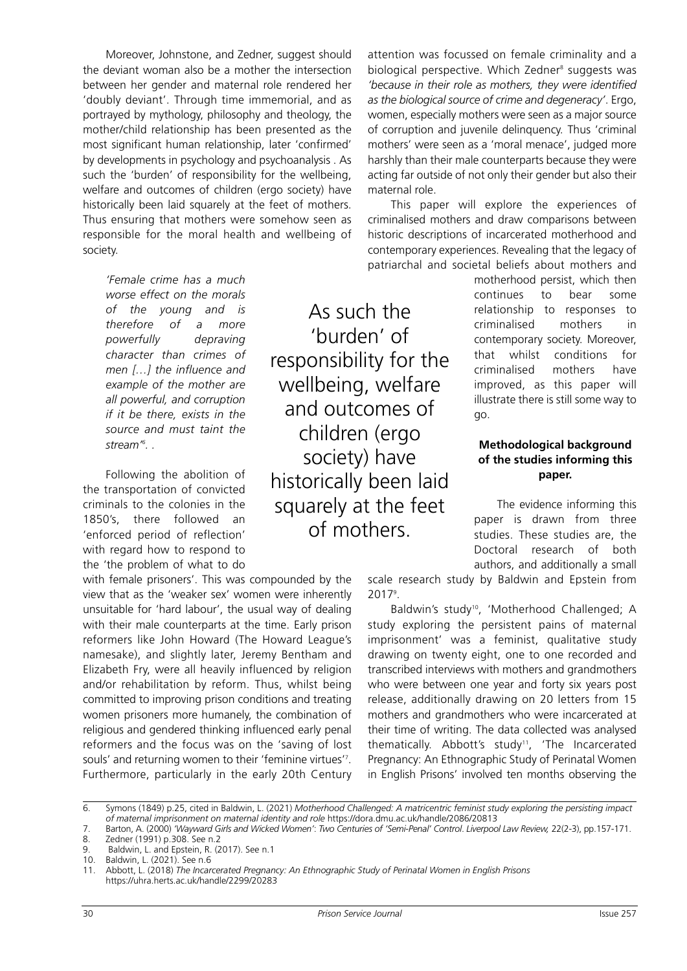Moreover, Johnstone, and Zedner, suggest should the deviant woman also be a mother the intersection between her gender and maternal role rendered her 'doubly deviant'. Through time immemorial, and as portrayed by mythology, philosophy and theology, the mother/child relationship has been presented as the most significant human relationship, later 'confirmed' by developments in psychology and psychoanalysis . As such the 'burden' of responsibility for the wellbeing, welfare and outcomes of children (ergo society) have historically been laid squarely at the feet of mothers. Thus ensuring that mothers were somehow seen as responsible for the moral health and wellbeing of society.

*'Female crime has a much worse effect on the morals of the young and is therefore of a more powerfully depraving character than crimes of men […] the influence and example of the mother are all powerful, and corruption if it be there, exists in the source and must taint the stream' 6 . .*

Following the abolition of the transportation of convicted criminals to the colonies in the 1850's, there followed an 'enforced period of reflection' with regard how to respond to the 'the problem of what to do

with female prisoners'. This was compounded by the view that as the 'weaker sex' women were inherently unsuitable for 'hard labour', the usual way of dealing with their male counterparts at the time. Early prison reformers like John Howard (The Howard League's namesake), and slightly later, Jeremy Bentham and Elizabeth Fry, were all heavily influenced by religion and/or rehabilitation by reform. Thus, whilst being committed to improving prison conditions and treating women prisoners more humanely, the combination of religious and gendered thinking influenced early penal reformers and the focus was on the 'saving of lost souls' and returning women to their 'feminine virtues' 7 . Furthermore, particularly in the early 20th Century

attention was focussed on female criminality and a biological perspective. Which Zedner<sup>8</sup> suggests was *'because in their role as mothers, they were identified as the biological source of crime and degeneracy'*. Ergo, women, especially mothers were seen as a major source of corruption and juvenile delinquency. Thus 'criminal mothers' were seen as a 'moral menace', judged more harshly than their male counterparts because they were acting far outside of not only their gender but also their maternal role.

This paper will explore the experiences of criminalised mothers and draw comparisons between historic descriptions of incarcerated motherhood and contemporary experiences. Revealing that the legacy of patriarchal and societal beliefs about mothers and

> motherhood persist, which then continues to bear some relationship to responses to criminalised mothers in contemporary society. Moreover, that whilst conditions for criminalised mothers have improved, as this paper will illustrate there is still some way to go.

# **Methodological background of the studies informing this paper.**

The evidence informing this paper is drawn from three studies. These studies are, the Doctoral research of both authors, and additionally a small

scale research study by Baldwin and Epstein from 2017<sup>9</sup>.

Baldwin's study<sup>10</sup>, 'Motherhood Challenged; A study exploring the persistent pains of maternal imprisonment' was a feminist, qualitative study drawing on twenty eight, one to one recorded and transcribed interviews with mothers and grandmothers who were between one year and forty six years post release, additionally drawing on 20 letters from 15 mothers and grandmothers who were incarcerated at their time of writing. The data collected was analysed thematically. Abbott's study<sup>11</sup>, 'The Incarcerated Pregnancy: An Ethnographic Study of Perinatal Women in English Prisons' involved ten months observing the

As such the

'burden' of

responsibility for the

wellbeing, welfare

and outcomes of

children (ergo

society) have

historically been laid

squarely at the feet of mothers.

<sup>6.</sup> Symons (1849) p.25, cited in Baldwin, L. (2021) *Motherhood Challenged: A matricentric feminist study exploring the persisting impact of maternal imprisonment on maternal identity and role* https://dora.dmu.ac.uk/handle/2086/20813

<sup>7.</sup> Barton, A. (2000) 'Wayward Girls and Wicked Women': Two Centuries of 'Semi-Penal' Control. Liverpool Law Review, 22(2-3), pp.157-171. 8. Zedner (1991) p.308. See n.2

<sup>9.</sup> Baldwin, L. and Epstein, R. (2017). See n.1

<sup>10.</sup> Baldwin, L. (2021). See n.6

<sup>11.</sup> Abbott, L. (2018) *The Incarcerated Pregnancy: An Ethnographic Study of Perinatal Women in English Prisons* https://uhra.herts.ac.uk/handle/2299/20283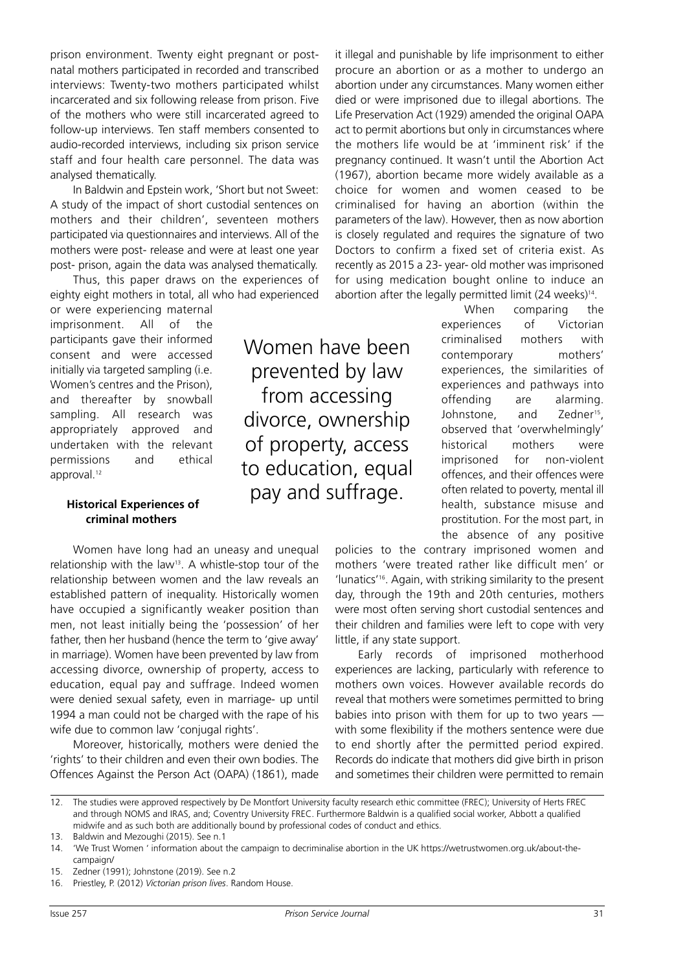prison environment. Twenty eight pregnant or postnatal mothers participated in recorded and transcribed interviews: Twenty-two mothers participated whilst incarcerated and six following release from prison. Five of the mothers who were still incarcerated agreed to follow-up interviews. Ten staff members consented to audio-recorded interviews, including six prison service staff and four health care personnel. The data was analysed thematically.

In Baldwin and Epstein work, 'Short but not Sweet: A study of the impact of short custodial sentences on mothers and their children', seventeen mothers participated via questionnaires and interviews. All of the mothers were post- release and were at least one year post- prison, again the data was analysed thematically.

Thus, this paper draws on the experiences of eighty eight mothers in total, all who had experienced

or were experiencing maternal imprisonment. All of the participants gave their informed consent and were accessed initially via targeted sampling (i.e. Women's centres and the Prison), and thereafter by snowball sampling. All research was appropriately approved and undertaken with the relevant permissions and ethical approval. 12

## **Historical Experiences of criminal mothers**

Women have long had an uneasy and unequal relationship with the law<sup>13</sup>. A whistle-stop tour of the relationship between women and the law reveals an established pattern of inequality. Historically women have occupied a significantly weaker position than men, not least initially being the 'possession' of her father, then her husband (hence the term to 'give away' in marriage). Women have been prevented by law from accessing divorce, ownership of property, access to education, equal pay and suffrage. Indeed women were denied sexual safety, even in marriage- up until 1994 a man could not be charged with the rape of his wife due to common law 'conjugal rights'.

Moreover, historically, mothers were denied the 'rights' to their children and even their own bodies. The Offences Against the Person Act (OAPA) (1861), made

Women have been prevented by law from accessing divorce, ownership of property, access to education, equal pay and suffrage.

it illegal and punishable by life imprisonment to either procure an abortion or as a mother to undergo an abortion under any circumstances. Many women either died or were imprisoned due to illegal abortions. The Life Preservation Act (1929) amended the original OAPA act to permit abortions but only in circumstances where the mothers life would be at 'imminent risk' if the pregnancy continued. It wasn't until the Abortion Act (1967), abortion became more widely available as a choice for women and women ceased to be criminalised for having an abortion (within the parameters of the law). However, then as now abortion is closely regulated and requires the signature of two Doctors to confirm a fixed set of criteria exist. As recently as 2015 a 23- year- old mother was imprisoned for using medication bought online to induce an abortion after the legally permitted limit (24 weeks) 14 .

When comparing the experiences of Victorian criminalised mothers with contemporary mothers' experiences, the similarities of experiences and pathways into offending are alarming. Johnstone, and Zedner<sup>15</sup>, observed that 'overwhelmingly' historical mothers were imprisoned for non-violent offences, and their offences were often related to poverty, mental ill health, substance misuse and prostitution. For the most part, in the absence of any positive

policies to the contrary imprisoned women and mothers 'were treated rather like difficult men' or 'lunatics' 16 . Again, with striking similarity to the present day, through the 19th and 20th centuries, mothers were most often serving short custodial sentences and their children and families were left to cope with very little, if any state support.

Early records of imprisoned motherhood experiences are lacking, particularly with reference to mothers own voices. However available records do reveal that mothers were sometimes permitted to bring babies into prison with them for up to two years with some flexibility if the mothers sentence were due to end shortly after the permitted period expired. Records do indicate that mothers did give birth in prison and sometimes their children were permitted to remain

<sup>12.</sup> The studies were approved respectively by De Montfort University faculty research ethic committee (FREC); University of Herts FREC and through NOMS and IRAS, and; Coventry University FREC. Furthermore Baldwin is a qualified social worker, Abbott a qualified midwife and as such both are additionally bound by professional codes of conduct and ethics.

<sup>13.</sup> Baldwin and Mezoughi (2015). See n.1

<sup>14.</sup> 'We Trust Women ' information about the campaign to decriminalise abortion in the UK https://wetrustwomen.org.uk/about-thecampaign/

<sup>15.</sup> Zedner (1991); Johnstone (2019). See n.2

<sup>16.</sup> Priestley, P. (2012) *Victorian prison lives*. Random House.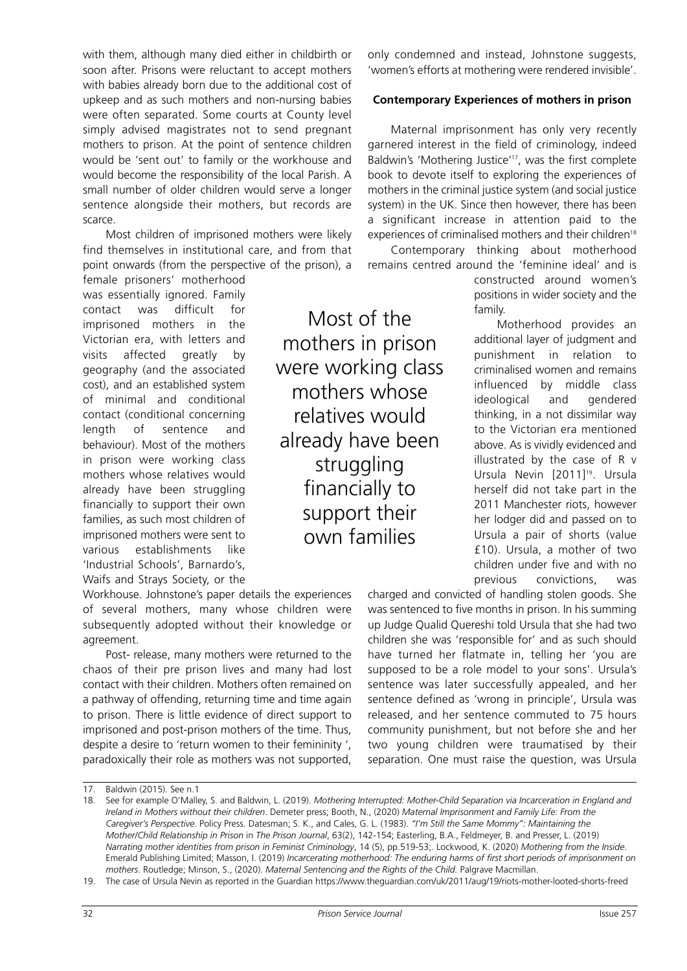with them, although many died either in childbirth or soon after. Prisons were reluctant to accept mothers with babies already born due to the additional cost of upkeep and as such mothers and non-nursing babies were often separated. Some courts at County level simply advised magistrates not to send pregnant mothers to prison. At the point of sentence children would be 'sent out' to family or the workhouse and would become the responsibility of the local Parish. A small number of older children would serve a longer sentence alongside their mothers, but records are scarce.

Most children of imprisoned mothers were likely find themselves in institutional care, and from that point onwards (from the perspective of the prison), a

Workhouse. Johnstone's paper details the experiences of several mothers, many whose children were subsequently adopted without their knowledge or

Post- release, many mothers were returned to the chaos of their pre prison lives and many had lost contact with their children. Mothers often remained on a pathway of offending, returning time and time again to prison. There is little evidence of direct support to imprisoned and post-prison mothers of the time. Thus, despite a desire to 'return women to their femininity ', paradoxically their role as mothers was not supported,

female prisoners' motherhood was essentially ignored. Family contact was difficult for imprisoned mothers in the Victorian era, with letters and visits affected greatly by geography (and the associated cost), and an established system of minimal and conditional contact (conditional concerning length of sentence and behaviour). Most of the mothers in prison were working class mothers whose relatives would already have been struggling financially to support their own families, as such most children of imprisoned mothers were sent to various establishments like 'Industrial Schools', Barnardo's, Waifs and Strays Society, or the

Most of the mothers in prison were working class mothers whose relatives would already have been struggling financially to support their own families

only condemned and instead, Johnstone suggests, 'women's efforts at mothering were rendered invisible'.

#### **Contemporary Experiences of mothers in prison**

Maternal imprisonment has only very recently garnered interest in the field of criminology, indeed Baldwin's 'Mothering Justice' 17 , was the first complete book to devote itself to exploring the experiences of mothers in the criminal justice system (and social justice system) in the UK. Since then however, there has been a significant increase in attention paid to the experiences of criminalised mothers and their children<sup>18</sup>

Contemporary thinking about motherhood remains centred around the 'feminine ideal' and is

> constructed around women's positions in wider society and the family.

Motherhood provides an additional layer of judgment and punishment in relation to criminalised women and remains influenced by middle class ideological and gendered thinking, in a not dissimilar way to the Victorian era mentioned above. As is vividly evidenced and illustrated by the case of R v Ursula Nevin [2011] 19 . Ursula herself did not take part in the 2011 Manchester riots, however her lodger did and passed on to Ursula a pair of shorts (value £10). Ursula, a mother of two children under five and with no previous convictions, was

charged and convicted of handling stolen goods. She was sentenced to five months in prison. In his summing up Judge Qualid Quereshi told Ursula that she had two children she was 'responsible for' and as such should have turned her flatmate in, telling her 'you are supposed to be a role model to your sons'. Ursula's sentence was later successfully appealed, and her sentence defined as 'wrong in principle', Ursula was released, and her sentence commuted to 75 hours community punishment, but not before she and her two young children were traumatised by their separation. One must raise the question, was Ursula

agreement.

<sup>18.</sup> See for example O'Malley, S. and Baldwin, L. (2019). *Mothering Interrupted: Mother-Child Separation via Incarceration in England and Ireland in Mothers without their children*. Demeter press; Booth, N., (2020) *Maternal Imprisonment and Family Life: From the Caregiver's Perspective*. Policy Press. Datesman; S. K., and Cales, G. L. (1983). *"I'm Still the Same Mommy": Maintaining the Mother/Child Relationship in Prison* in *The Prison Journal*, 63(2), 142-154; Easterling, B.A., Feldmeyer, B. and Presser, L. (2019) *Narrating mother identities from prison in Feminist Criminology*, 14 (5), pp.519-53;. Lockwood, K. (2020) *Mothering from the Inside*. Emerald Publishing Limited; Masson, I. (2019) *Incarcerating motherhood: The enduring harms of first short periods of imprisonment on mothers*. Routledge; Minson, S., (2020). *Maternal Sentencing and the Rights of the Child.* Palgrave Macmillan.

<sup>19.</sup> The case of Ursula Nevin as reported in the Guardian https://www.theguardian.com/uk/2011/aug/19/riots-mother-looted-shorts-freed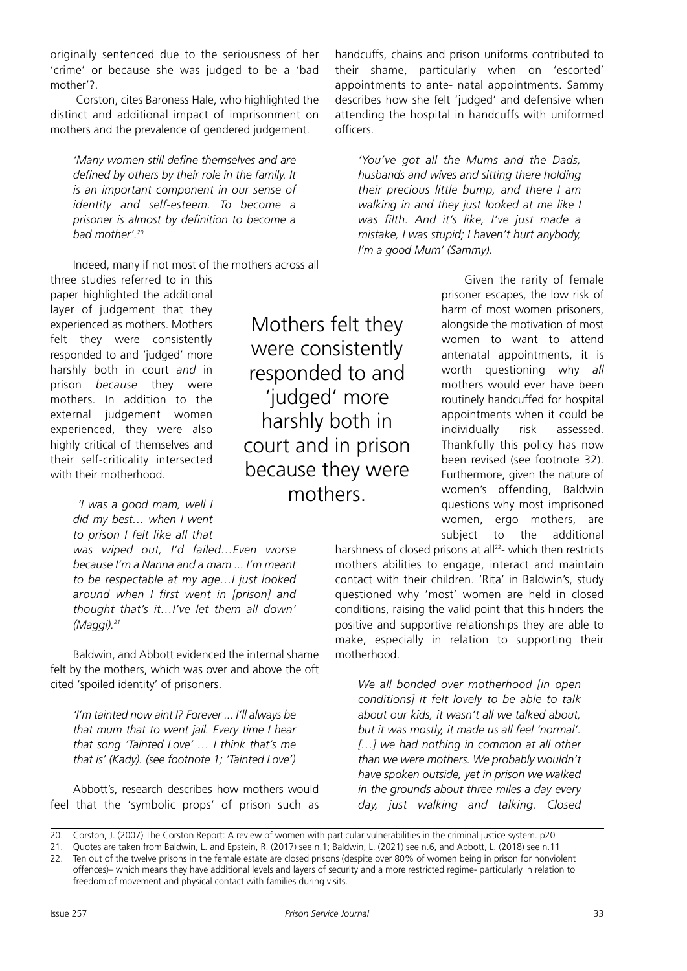originally sentenced due to the seriousness of her 'crime' or because she was judged to be a 'bad mother'?.

Corston, cites Baroness Hale, who highlighted the distinct and additional impact of imprisonment on mothers and the prevalence of gendered judgement.

*'Many women still define themselves and are defined by others by their role in the family. It is an important component in our sense of identity and self-esteem. To become a prisoner is almost by definition to become a bad mother'. 20*

Indeed, many if not most of the mothers across all

three studies referred to in this paper highlighted the additional layer of judgement that they experienced as mothers. Mothers felt they were consistently responded to and 'judged' more harshly both in court *and* in prison *because* they were mothers. In addition to the external judgement women experienced, they were also highly critical of themselves and their self-criticality intersected with their motherhood.

> *'I was a good mam, well I did my best… when I went to prison I felt like all that*

*was wiped out, I'd failed…Even worse because I'm a Nanna and a mam ... I'm meant to be respectable at my age…I just looked around when I first went in [prison] and thought that's it…I've let them all down' (Maggi). 21*

Baldwin, and Abbott evidenced the internal shame felt by the mothers, which was over and above the oft cited 'spoiled identity' of prisoners.

*'I'm tainted now aint I? Forever ... I'll always be that mum that to went jail. Every time I hear that song 'Tainted Love' … I think that's me that is' (Kady). (see footnote 1; 'Tainted Love')*

Abbott's, research describes how mothers would feel that the 'symbolic props' of prison such as

Mothers felt they were consistently responded to and 'judged' more harshly both in court and in prison because they were mothers.

handcuffs, chains and prison uniforms contributed to their shame, particularly when on 'escorted' appointments to ante- natal appointments. Sammy describes how she felt 'judged' and defensive when attending the hospital in handcuffs with uniformed officers.

*'You've got all the Mums and the Dads, husbands and wives and sitting there holding their precious little bump, and there I am walking in and they just looked at me like I was filth. And it's like, I've just made a mistake, I was stupid; I haven't hurt anybody, I'm a good Mum' (Sammy).*

> Given the rarity of female prisoner escapes, the low risk of harm of most women prisoners, alongside the motivation of most women to want to attend antenatal appointments, it is worth questioning why *all* mothers would ever have been routinely handcuffed for hospital appointments when it could be individually risk assessed. Thankfully this policy has now been revised (see footnote 32). Furthermore, given the nature of women's offending, Baldwin questions why most imprisoned women, ergo mothers, are subject to the additional

harshness of closed prisons at all<sup>22</sup>- which then restricts mothers abilities to engage, interact and maintain contact with their children. 'Rita' in Baldwin's, study questioned why 'most' women are held in closed conditions, raising the valid point that this hinders the positive and supportive relationships they are able to make, especially in relation to supporting their motherhood.

*We all bonded over motherhood [in open conditions] it felt lovely to be able to talk about our kids, it wasn't all we talked about, but it was mostly, it made us all feel 'normal'. […] we had nothing in common at all other than we were mothers. We probably wouldn't have spoken outside, yet in prison we walked in the grounds about three miles a day every day, just walking and talking. Closed*

<sup>20.</sup> Corston, J. (2007) The Corston Report: A review of women with particular vulnerabilities in the criminal justice system. p20

<sup>21.</sup> Quotes are taken from Baldwin, L. and Epstein, R. (2017) see n.1; Baldwin, L. (2021) see n.6, and Abbott, L. (2018) see n.11

<sup>22.</sup> Ten out of the twelve prisons in the female estate are closed prisons (despite over 80% of women being in prison for nonviolent offences)– which means they have additional levels and layers of security and a more restricted regime- particularly in relation to freedom of movement and physical contact with families during visits.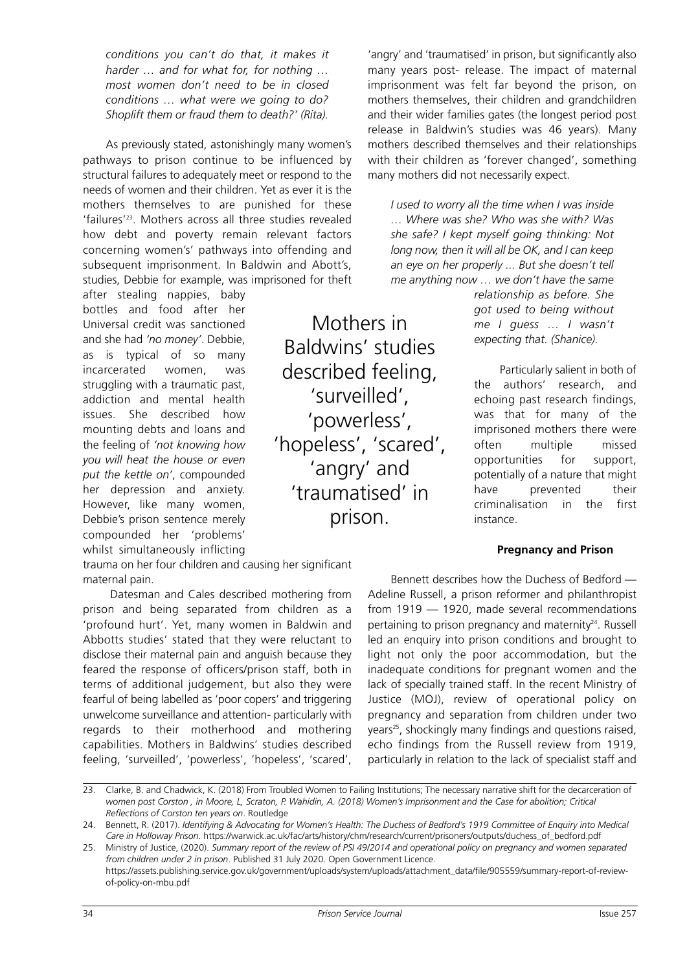*conditions you can't do that, it makes it harder … and for what for, for nothing … most women don't need to be in closed conditions … what were we going to do? Shoplift them or fraud them to death?' (Rita).*

As previously stated, astonishingly many women's pathways to prison continue to be influenced by structural failures to adequately meet or respond to the needs of women and their children. Yet as ever it is the mothers themselves to are punished for these 'failures' 23 . Mothers across all three studies revealed how debt and poverty remain relevant factors concerning women's' pathways into offending and subsequent imprisonment. In Baldwin and Abott's, studies, Debbie for example, was imprisoned for theft

after stealing nappies, baby bottles and food after her Universal credit was sanctioned and she had *'no money'*. Debbie, as is typical of so many incarcerated women, was struggling with a traumatic past, addiction and mental health issues. She described how mounting debts and loans and the feeling of *'not knowing how you will heat the house or even put the kettle on'*, compounded her depression and anxiety. However, like many women, Debbie's prison sentence merely compounded her 'problems' whilst simultaneously inflicting

trauma on her four children and causing her significant maternal pain.

Datesman and Cales described mothering from prison and being separated from children as a 'profound hurt'. Yet, many women in Baldwin and Abbotts studies' stated that they were reluctant to disclose their maternal pain and anguish because they feared the response of officers/prison staff, both in terms of additional judgement, but also they were fearful of being labelled as 'poor copers' and triggering unwelcome surveillance and attention- particularly with regards to their motherhood and mothering capabilities. Mothers in Baldwins' studies described feeling, 'surveilled', 'powerless', 'hopeless', 'scared',

'angry' and 'traumatised' in prison, but significantly also many years post- release. The impact of maternal imprisonment was felt far beyond the prison, on mothers themselves, their children and grandchildren and their wider families gates (the longest period post release in Baldwin's studies was 46 years). Many mothers described themselves and their relationships with their children as 'forever changed', something many mothers did not necessarily expect.

*I used to worry all the time when I was inside … Where was she? Who was she with? Was she safe? I kept myself going thinking: Not long now, then it will all be OK, and I can keep an eye on her properly ... But she doesn't tell me anything now … we don't have the same*

> *relationship as before. She got used to being without me I guess … I wasn't expecting that. (Shanice).*

Particularly salient in both of the authors' research, and echoing past research findings, was that for many of the imprisoned mothers there were often multiple missed opportunities for support, potentially of a nature that might have prevented their criminalisation in the first instance.

## **Pregnancy and Prison**

Bennett describes how the Duchess of Bedford — Adeline Russell, a prison reformer and philanthropist from 1919 — 1920, made several recommendations pertaining to prison pregnancy and maternity<sup>24</sup>. Russell led an enquiry into prison conditions and brought to light not only the poor accommodation, but the inadequate conditions for pregnant women and the lack of specially trained staff. In the recent Ministry of Justice (MOJ), review of operational policy on pregnancy and separation from children under two years<sup>25</sup>, shockingly many findings and questions raised, echo findings from the Russell review from 1919, particularly in relation to the lack of specialist staff and

Baldwins' studies described feeling, 'surveilled', 'powerless', 'hopeless', 'scared', 'angry' and 'traumatised' in prison.

Mothers in

<sup>23.</sup> Clarke, B. and Chadwick, K. (2018) From Troubled Women to Failing Institutions; The necessary narrative shift for the decarceration of women post Corston, in Moore, L, Scraton, P. Wahidin, A. (2018) Women's Imprisonment and the Case for abolition; Critical *Reflections of Corston ten years on*. Routledge

<sup>24.</sup> Bennett, R. (2017). Identifying & Advocating for Women's Health: The Duchess of Bedford's 1919 Committee of Enquiry into Medical *Care in Holloway Prison*. https://warwick.ac.uk/fac/arts/history/chm/research/current/prisoners/outputs/duchess\_of\_bedford.pdf

<sup>25.</sup> Ministry of Justice, (2020). Summary report of the review of PSI 49/2014 and operational policy on pregnancy and women separated *from children under 2 in prison*. Published 31 July 2020. Open Government Licence. https://assets.publishing.service.gov.uk/government/uploads/system/uploads/attachment\_data/file/905559/summary-report-of-reviewof-policy-on-mbu.pdf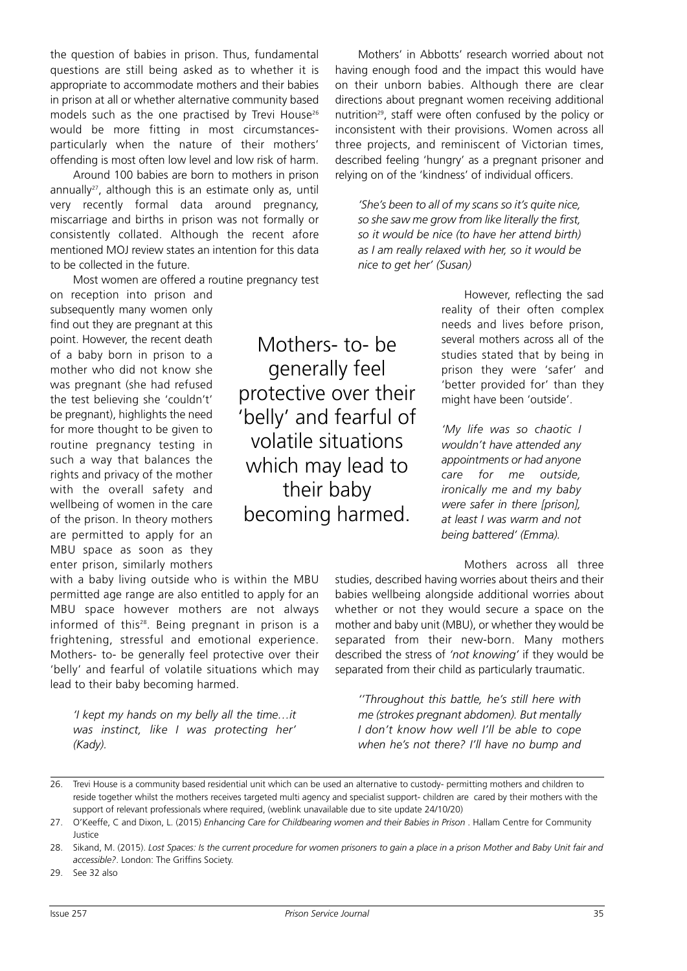the question of babies in prison. Thus, fundamental questions are still being asked as to whether it is appropriate to accommodate mothers and their babies in prison at all or whether alternative community based models such as the one practised by Trevi House<sup>26</sup> would be more fitting in most circumstancesparticularly when the nature of their mothers' offending is most often low level and low risk of harm.

Around 100 babies are born to mothers in prison annually<sup>27</sup>, although this is an estimate only as, until very recently formal data around pregnancy, miscarriage and births in prison was not formally or consistently collated. Although the recent afore mentioned MOJ review states an intention for this data to be collected in the future.

Most women are offered a routine pregnancy test

on reception into prison and subsequently many women only find out they are pregnant at this point. However, the recent death of a baby born in prison to a mother who did not know she was pregnant (she had refused the test believing she 'couldn't' be pregnant), highlights the need for more thought to be given to routine pregnancy testing in such a way that balances the rights and privacy of the mother with the overall safety and wellbeing of women in the care of the prison. In theory mothers are permitted to apply for an MBU space as soon as they enter prison, similarly mothers

with a baby living outside who is within the MBU permitted age range are also entitled to apply for an MBU space however mothers are not always informed of this<sup>28</sup>. Being pregnant in prison is a frightening, stressful and emotional experience. Mothers- to- be generally feel protective over their 'belly' and fearful of volatile situations which may lead to their baby becoming harmed.

*'I kept my hands on my belly all the time…it was instinct, like I was protecting her' (Kady).*

Mothers- to- be generally feel protective over their 'belly' and fearful of volatile situations which may lead to their baby becoming harmed.

Mothers' in Abbotts' research worried about not having enough food and the impact this would have on their unborn babies. Although there are clear directions about pregnant women receiving additional nutrition<sup>29</sup>, staff were often confused by the policy or inconsistent with their provisions. Women across all three projects, and reminiscent of Victorian times, described feeling 'hungry' as a pregnant prisoner and relying on of the 'kindness' of individual officers.

*'She's been to all of my scans so it's quite nice, so she saw me grow from like literally the first, so it would be nice (to have her attend birth) as I am really relaxed with her, so it would be nice to get her' (Susan)*

> However, reflecting the sad reality of their often complex needs and lives before prison, several mothers across all of the studies stated that by being in prison they were 'safer' and 'better provided for' than they might have been 'outside'.

*'My life was so chaotic I wouldn't have attended any appointments or had anyone care for me outside, ironically me and my baby were safer in there [prison], at least I was warm and not being battered' (Emma).*

Mothers across all three

studies, described having worries about theirs and their babies wellbeing alongside additional worries about whether or not they would secure a space on the mother and baby unit (MBU), or whether they would be separated from their new-born. Many mothers described the stress of *'not knowing'* if they would be separated from their child as particularly traumatic.

*''Throughout this battle, he's still here with me (strokes pregnant abdomen). But mentally I don't know how well I'll be able to cope when he's not there? I'll have no bump and*

<sup>26.</sup> Trevi House is a community based residential unit which can be used an alternative to custody- permitting mothers and children to reside together whilst the mothers receives targeted multi agency and specialist support- children are cared by their mothers with the support of relevant professionals where required, (weblink unavailable due to site update 24/10/20)

<sup>27.</sup> O'Keeffe, C and Dixon, L. (2015) *Enhancing Care for Childbearing women and their Babies in Prison* . Hallam Centre for Community Justice

<sup>28.</sup> Sikand, M. (2015). Lost Spaces: Is the current procedure for women prisoners to gain a place in a prison Mother and Baby Unit fair and *accessible?*. London: The Griffins Society.

<sup>29.</sup> See 32 also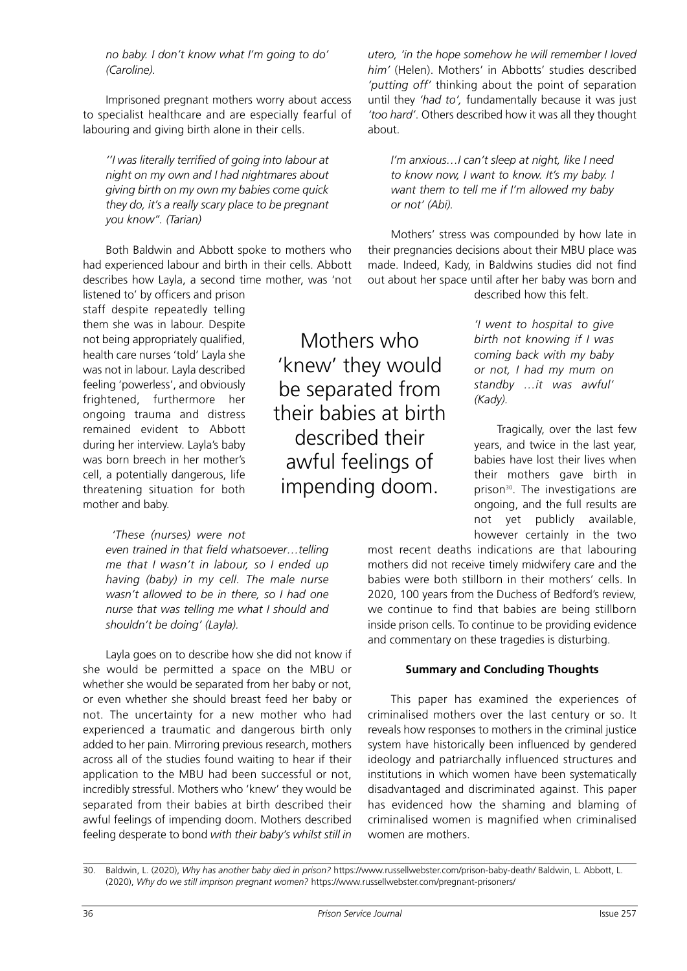*no baby. I don't know what I'm going to do' (Caroline).*

Imprisoned pregnant mothers worry about access to specialist healthcare and are especially fearful of labouring and giving birth alone in their cells.

*''I was literally terrified of going into labour at night on my own and I had nightmares about giving birth on my own my babies come quick they do, it's a really scary place to be pregnant you know''. (Tarian)*

Both Baldwin and Abbott spoke to mothers who had experienced labour and birth in their cells. Abbott describes how Layla, a second time mother, was 'not

listened to' by officers and prison staff despite repeatedly telling them she was in labour. Despite not being appropriately qualified, health care nurses 'told' Layla she was not in labour. Layla described feeling 'powerless', and obviously frightened, furthermore her ongoing trauma and distress remained evident to Abbott during her interview. Layla's baby was born breech in her mother's cell, a potentially dangerous, life threatening situation for both mother and baby.

## *'These (nurses) were not*

*even trained in that field whatsoever…telling me that I wasn't in labour, so I ended up having (baby) in my cell. The male nurse wasn't allowed to be in there, so I had one nurse that was telling me what I should and shouldn't be doing' (Layla).*

Layla goes on to describe how she did not know if she would be permitted a space on the MBU or whether she would be separated from her baby or not, or even whether she should breast feed her baby or not. The uncertainty for a new mother who had experienced a traumatic and dangerous birth only added to her pain. Mirroring previous research, mothers across all of the studies found waiting to hear if their application to the MBU had been successful or not, incredibly stressful. Mothers who 'knew' they would be separated from their babies at birth described their awful feelings of impending doom. Mothers described feeling desperate to bond *with their baby's whilst still in*

Mothers who 'knew' they would be separated from their babies at birth described their awful feelings of impending doom.

*utero, 'in the hope somehow he will remember I loved him'* (Helen). Mothers' in Abbotts' studies described *'putting off'* thinking about the point of separation until they *'had to',* fundamentally because it was just *'too hard'*. Others described how it was all they thought about.

*I'm anxious…I can't sleep at night, like I need to know now, I want to know. It's my baby. I want them to tell me if I'm allowed my baby or not' (Abi).*

Mothers' stress was compounded by how late in their pregnancies decisions about their MBU place was made. Indeed, Kady, in Baldwins studies did not find out about her space until after her baby was born and described how this felt.

> *'I went to hospital to give birth not knowing if I was coming back with my baby or not, I had my mum on standby …it was awful' (Kady).*

Tragically, over the last few years, and twice in the last year, babies have lost their lives when their mothers gave birth in prison<sup>30</sup>. The investigations are ongoing, and the full results are not yet publicly available, however certainly in the two

most recent deaths indications are that labouring mothers did not receive timely midwifery care and the babies were both stillborn in their mothers' cells. In 2020, 100 years from the Duchess of Bedford's review, we continue to find that babies are being stillborn inside prison cells. To continue to be providing evidence and commentary on these tragedies is disturbing.

## **Summary and Concluding Thoughts**

This paper has examined the experiences of criminalised mothers over the last century or so. It reveals how responses to mothers in the criminal justice system have historically been influenced by gendered ideology and patriarchally influenced structures and institutions in which women have been systematically disadvantaged and discriminated against. This paper has evidenced how the shaming and blaming of criminalised women is magnified when criminalised women are mothers.

<sup>30.</sup> Baldwin, L. (2020), *Why has another baby died in prison?* https://www.russellwebster.com/prison-baby-death/ Baldwin, L. Abbott, L. (2020), *Why do we still imprison pregnant women?* https://www.russellwebster.com/pregnant-prisoners/